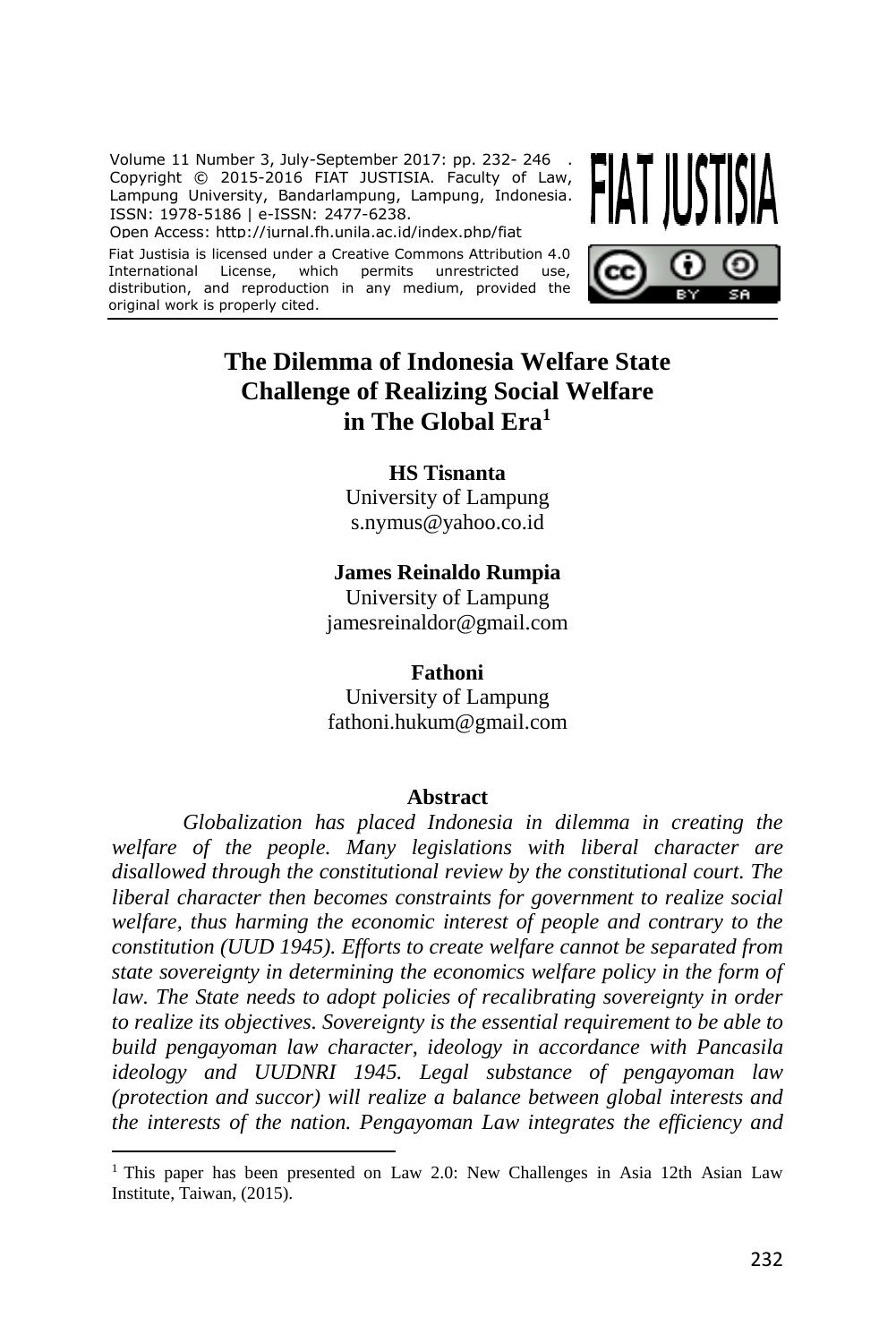Volume 11 Number 3, July-September 2017: pp. 232- 246 . Copyright © 2015-2016 FIAT JUSTISIA. Faculty of Law, Lampung University, Bandarlampung, Lampung, Indonesia. ISSN: 1978-5186 | e-ISSN: 2477-6238.

Open Access: http://jurnal.fh.unila.ac.id/index.php/fiat

Fiat Justisia is licensed under a Creative Commons Attribution 4.0 International License, which permits unrestricted use, distribution, and reproduction in any medium, provided the original work is properly cited.





# **The Dilemma of Indonesia Welfare State Challenge of Realizing Social Welfare in The Global Era<sup>1</sup>**

### **HS Tisnanta**

University of Lampung [s.nymus@yahoo.co.id](mailto:s.nymus@yahoo.co.id)

### **James Reinaldo Rumpia**

University of Lampung [jamesreinaldor@gmail.com](mailto:jamesreinaldor@gmail.com)

#### **Fathoni**

University of Lampung fathoni.hukum@gmail.com

#### **Abstract**

*Globalization has placed Indonesia in dilemma in creating the welfare of the people. Many legislations with liberal character are disallowed through the constitutional review by the constitutional court. The liberal character then becomes constraints for government to realize social welfare, thus harming the economic interest of people and contrary to the constitution (UUD 1945). Efforts to create welfare cannot be separated from state sovereignty in determining the economics welfare policy in the form of*  law. The State needs to adopt policies of recalibrating sovereignty in order *to realize its objectives. Sovereignty is the essential requirement to be able to build pengayoman law character, ideology in accordance with Pancasila ideology and UUDNRI 1945. Legal substance of pengayoman law (protection and succor) will realize a balance between global interests and the interests of the nation. Pengayoman Law integrates the efficiency and* 

<sup>&</sup>lt;sup>1</sup> This paper has been presented on Law 2.0: New Challenges in Asia 12th Asian Law Institute, Taiwan, (2015).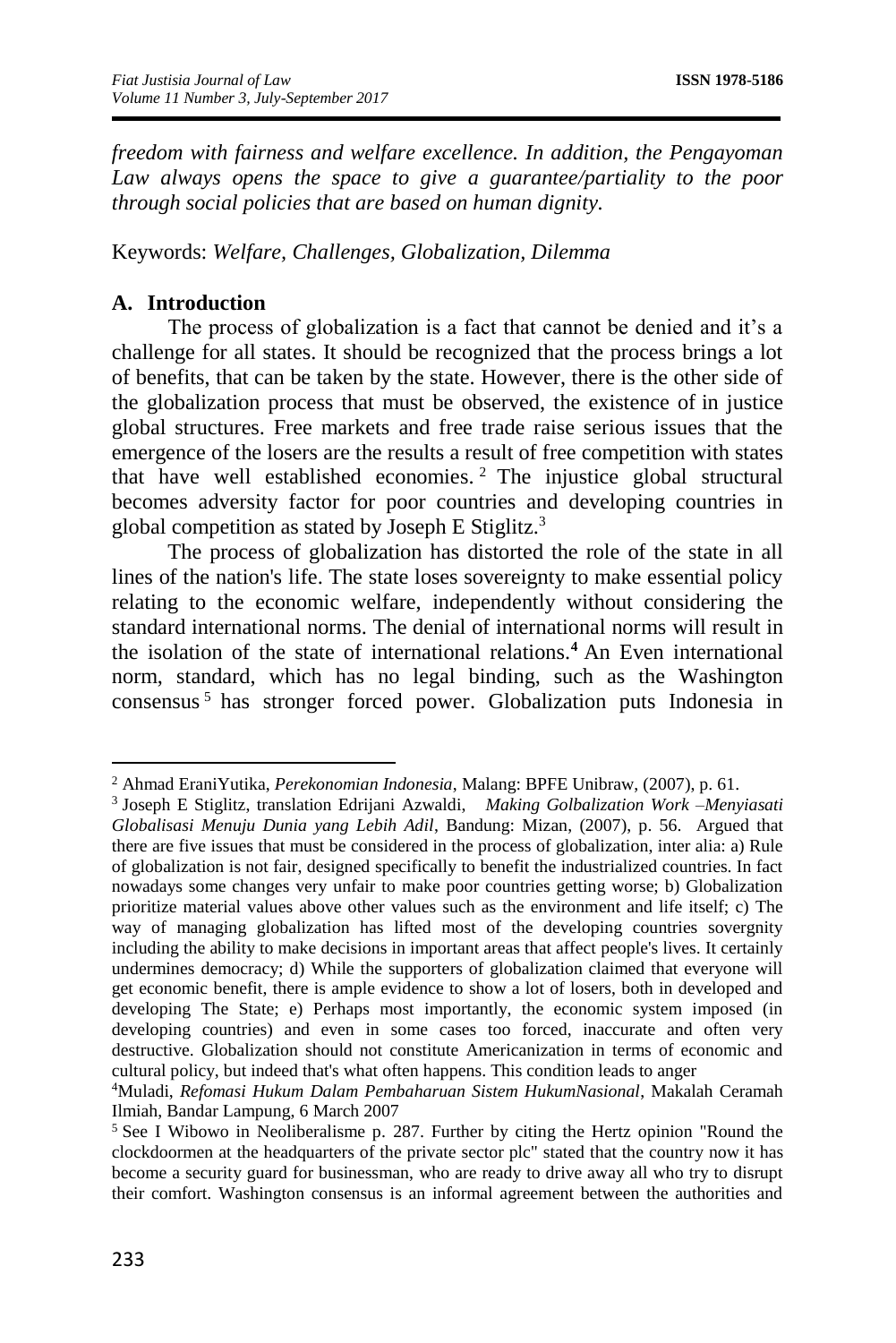*freedom with fairness and welfare excellence. In addition, the Pengayoman*  Law always opens the space to give a guarantee/partiality to the poor *through social policies that are based on human dignity.*

Keywords: *Welfare, Challenges, Globalization, Dilemma*

### **A. Introduction**

The process of globalization is a fact that cannot be denied and it's a challenge for all states. It should be recognized that the process brings a lot of benefits, that can be taken by the state. However, there is the other side of the globalization process that must be observed, the existence of in justice global structures. Free markets and free trade raise serious issues that the emergence of the losers are the results a result of free competition with states that have well established economies. <sup>2</sup> The injustice global structural becomes adversity factor for poor countries and developing countries in global competition as stated by Joseph E Stiglitz. 3

The process of globalization has distorted the role of the state in all lines of the nation's life. The state loses sovereignty to make essential policy relating to the economic welfare, independently without considering the standard international norms. The denial of international norms will result in the isolation of the state of international relations.**<sup>4</sup>** An Even international norm, standard, which has no legal binding, such as the Washington consensus <sup>5</sup> has stronger forced power. Globalization puts Indonesia in

<sup>2</sup> Ahmad EraniYutika, *Perekonomian Indonesia*, Malang: BPFE Unibraw, (2007), p. 61.

<sup>3</sup> Joseph E Stiglitz, translation Edrijani Azwaldi, *Making Golbalization Work –Menyiasati Globalisasi Menuju Dunia yang Lebih Adil*, Bandung: Mizan, (2007), p. 56. Argued that there are five issues that must be considered in the process of globalization, inter alia: a) Rule of globalization is not fair, designed specifically to benefit the industrialized countries. In fact nowadays some changes very unfair to make poor countries getting worse; b) Globalization prioritize material values above other values such as the environment and life itself; c) The way of managing globalization has lifted most of the developing countries sovergnity including the ability to make decisions in important areas that affect people's lives. It certainly undermines democracy; d) While the supporters of globalization claimed that everyone will get economic benefit, there is ample evidence to show a lot of losers, both in developed and developing The State; e) Perhaps most importantly, the economic system imposed (in developing countries) and even in some cases too forced, inaccurate and often very destructive. Globalization should not constitute Americanization in terms of economic and cultural policy, but indeed that's what often happens. This condition leads to anger

<sup>4</sup>Muladi, *Refomasi Hukum Dalam Pembaharuan Sistem HukumNasional*, Makalah Ceramah Ilmiah, Bandar Lampung, 6 March 2007

<sup>5</sup> See I Wibowo in Neoliberalisme p. 287. Further by citing the Hertz opinion "Round the clockdoormen at the headquarters of the private sector plc" stated that the country now it has become a security guard for businessman, who are ready to drive away all who try to disrupt their comfort. Washington consensus is an informal agreement between the authorities and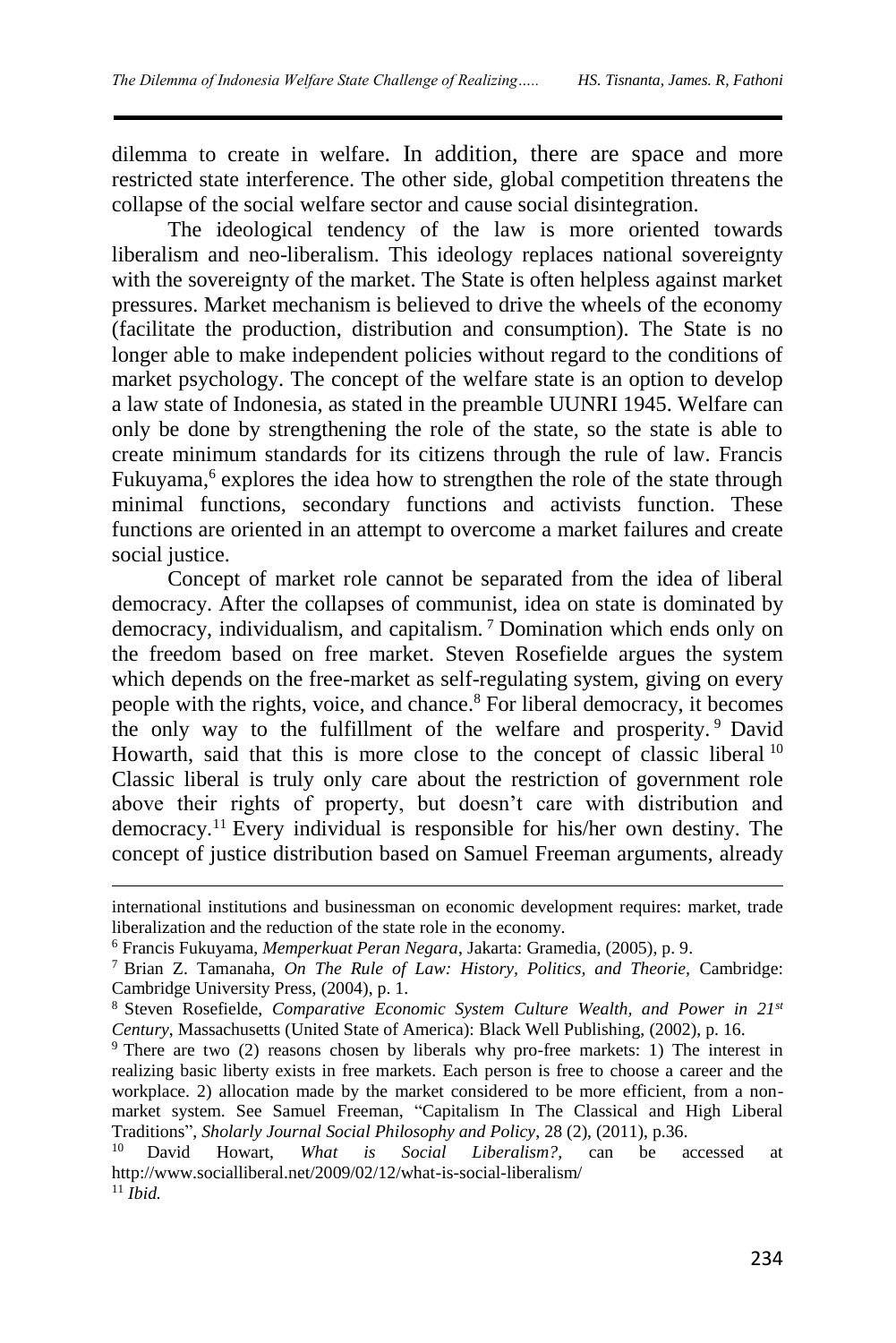dilemma to create in welfare. In addition, there are space and more restricted state interference. The other side, global competition threatens the collapse of the social welfare sector and cause social disintegration.

The ideological tendency of the law is more oriented towards liberalism and neo-liberalism. This ideology replaces national sovereignty with the sovereignty of the market. The State is often helpless against market pressures. Market mechanism is believed to drive the wheels of the economy (facilitate the production, distribution and consumption). The State is no longer able to make independent policies without regard to the conditions of market psychology. The concept of the welfare state is an option to develop a law state of Indonesia, as stated in the preamble UUNRI 1945. Welfare can only be done by strengthening the role of the state, so the state is able to create minimum standards for its citizens through the rule of law. Francis Fukuyama,<sup>6</sup> explores the idea how to strengthen the role of the state through minimal functions, secondary functions and activists function. These functions are oriented in an attempt to overcome a market failures and create social justice.

Concept of market role cannot be separated from the idea of liberal democracy. After the collapses of communist, idea on state is dominated by democracy, individualism, and capitalism. <sup>7</sup> Domination which ends only on the freedom based on free market. Steven Rosefielde argues the system which depends on the free-market as self-regulating system, giving on every people with the rights, voice, and chance.<sup>8</sup> For liberal democracy, it becomes the only way to the fulfillment of the welfare and prosperity. <sup>9</sup> David Howarth, said that this is more close to the concept of classic liberal  $10$ Classic liberal is truly only care about the restriction of government role above their rights of property, but doesn't care with distribution and democracy.<sup>11</sup> Every individual is responsible for his/her own destiny. The concept of justice distribution based on Samuel Freeman arguments, already

international institutions and businessman on economic development requires: market, trade liberalization and the reduction of the state role in the economy.

<sup>6</sup> Francis Fukuyama, *Memperkuat Peran Negara*, Jakarta: Gramedia, (2005), p. 9.

<sup>7</sup> Brian Z. Tamanaha, *On The Rule of Law: History, Politics, and Theorie,* Cambridge: Cambridge University Press, (2004), p. 1.

<sup>8</sup> Steven Rosefielde, *Comparative Economic System Culture Wealth, and Power in 21st Century*, Massachusetts (United State of America): Black Well Publishing, (2002), p. 16.

<sup>9</sup> There are two (2) reasons chosen by liberals why pro-free markets: 1) The interest in realizing basic liberty exists in free markets. Each person is free to choose a career and the workplace. 2) allocation made by the market considered to be more efficient, from a nonmarket system. See Samuel Freeman, "Capitalism In The Classical and High Liberal Traditions", *Sholarly Journal Social Philosophy and Policy*, 28 (2), (2011), p.36.

<sup>10</sup> David Howart, *What is Social Liberalism?,* can be accessed at http://www.socialliberal.net/2009/02/12/what-is-social-liberalism/ <sup>11</sup> *Ibid.*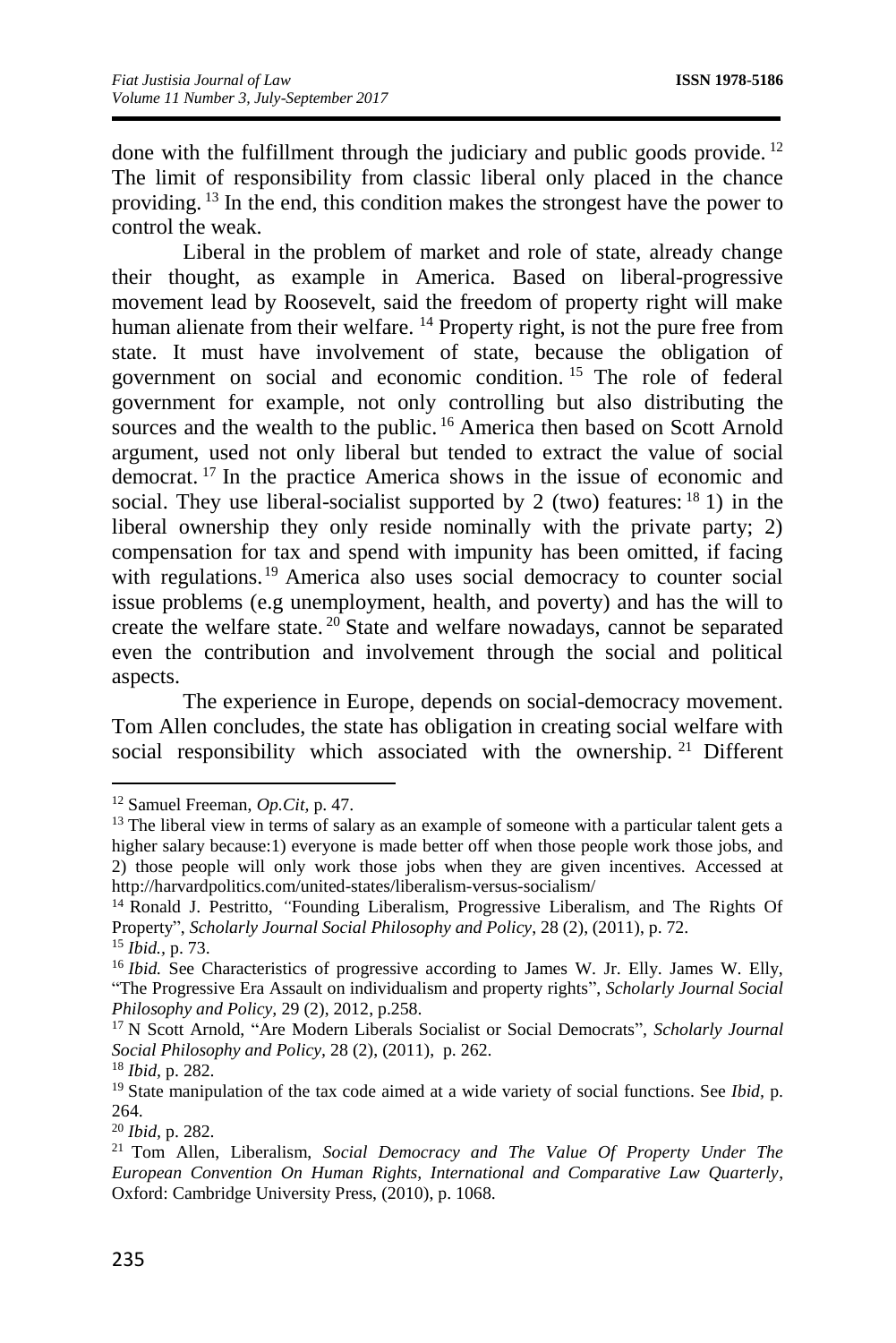done with the fulfillment through the judiciary and public goods provide. <sup>12</sup> The limit of responsibility from classic liberal only placed in the chance providing. <sup>13</sup> In the end, this condition makes the strongest have the power to control the weak.

Liberal in the problem of market and role of state, already change their thought, as example in America. Based on liberal-progressive movement lead by Roosevelt, said the freedom of property right will make human alienate from their welfare. <sup>14</sup> Property right, is not the pure free from state. It must have involvement of state, because the obligation of government on social and economic condition. <sup>15</sup> The role of federal government for example, not only controlling but also distributing the sources and the wealth to the public.<sup>16</sup> America then based on Scott Arnold argument, used not only liberal but tended to extract the value of social democrat. <sup>17</sup> In the practice America shows in the issue of economic and social. They use liberal-socialist supported by 2 (two) features:  $18 \text{ 1}$ ) in the liberal ownership they only reside nominally with the private party; 2) compensation for tax and spend with impunity has been omitted, if facing with regulations.<sup>19</sup> America also uses social democracy to counter social issue problems (e.g unemployment, health, and poverty) and has the will to create the welfare state. <sup>20</sup> State and welfare nowadays, cannot be separated even the contribution and involvement through the social and political aspects.

The experience in Europe, depends on social-democracy movement. Tom Allen concludes, the state has obligation in creating social welfare with social responsibility which associated with the ownership.<sup>21</sup> Different

<sup>12</sup> Samuel Freeman, *Op.Cit,* p. 47.

<sup>&</sup>lt;sup>13</sup> The liberal view in terms of salary as an example of someone with a particular talent gets a higher salary because:1) everyone is made better off when those people work those jobs, and 2) those people will only work those jobs when they are given incentives. Accessed at http://harvardpolitics.com/united-states/liberalism-versus-socialism/

<sup>14</sup> Ronald J. Pestritto, *"*Founding Liberalism, Progressive Liberalism, and The Rights Of Property", *Scholarly Journal Social Philosophy and Policy*, 28 (2), (2011), p. 72. <sup>15</sup> *Ibid.,* p. 73.

<sup>&</sup>lt;sup>16</sup> *Ibid.* See Characteristics of progressive according to James W. Jr. Elly. James W. Elly, "The Progressive Era Assault on individualism and property rights", *Scholarly Journal Social Philosophy and Policy,* 29 (2), 2012, p.258.

<sup>17</sup> N Scott Arnold, "Are Modern Liberals Socialist or Social Democrats"*, Scholarly Journal Social Philosophy and Policy,* 28 (2), (2011), p. 262.

<sup>18</sup> *Ibid,* p. 282.

<sup>19</sup> State manipulation of the tax code aimed at a wide variety of social functions. See *Ibid,* p. 264.

<sup>20</sup> *Ibid,* p. 282.

<sup>21</sup> Tom Allen, Liberalism, *Social Democracy and The Value Of Property Under The European Convention On Human Rights, International and Comparative Law Quarterly*, Oxford: Cambridge University Press, (2010), p. 1068.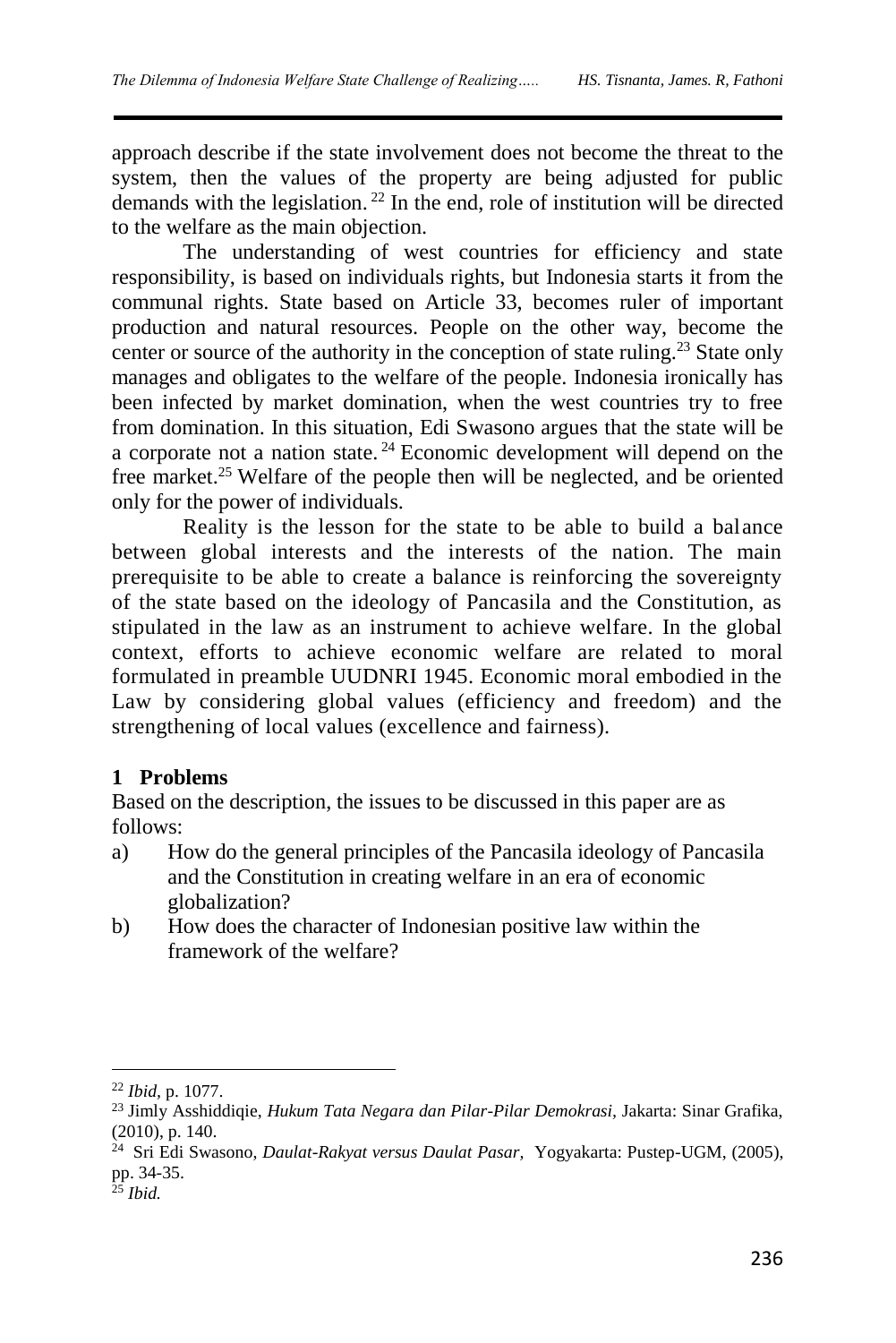approach describe if the state involvement does not become the threat to the system, then the values of the property are being adjusted for public demands with the legislation. <sup>22</sup> In the end, role of institution will be directed to the welfare as the main objection.

The understanding of west countries for efficiency and state responsibility, is based on individuals rights, but Indonesia starts it from the communal rights. State based on Article 33, becomes ruler of important production and natural resources. People on the other way, become the center or source of the authority in the conception of state ruling.<sup>23</sup> State only manages and obligates to the welfare of the people. Indonesia ironically has been infected by market domination, when the west countries try to free from domination. In this situation, Edi Swasono argues that the state will be a corporate not a nation state. <sup>24</sup> Economic development will depend on the free market.<sup>25</sup> Welfare of the people then will be neglected, and be oriented only for the power of individuals.

Reality is the lesson for the state to be able to build a balance between global interests and the interests of the nation. The main prerequisite to be able to create a balance is reinforcing the sovereignty of the state based on the ideology of Pancasila and the Constitution, as stipulated in the law as an instrument to achieve welfare. In the global context, efforts to achieve economic welfare are related to moral formulated in preamble UUDNRI 1945. Economic moral embodied in the Law by considering global values (efficiency and freedom) and the strengthening of local values (excellence and fairness).

# **1 Problems**

Based on the description, the issues to be discussed in this paper are as follows:

- a) How do the general principles of the Pancasila ideology of Pancasila and the Constitution in creating welfare in an era of economic globalization?
- b) How does the character of Indonesian positive law within the framework of the welfare?

<sup>22</sup> *Ibid,* p. 1077.

<sup>23</sup> Jimly Asshiddiqie, *Hukum Tata Negara dan Pilar-Pilar Demokrasi,* Jakarta: Sinar Grafika, (2010), p. 140.

<sup>24</sup> Sri Edi Swasono, *Daulat-Rakyat versus Daulat Pasar,* Yogyakarta: Pustep-UGM, (2005), pp. 34-35.

<sup>25</sup> *Ibid.*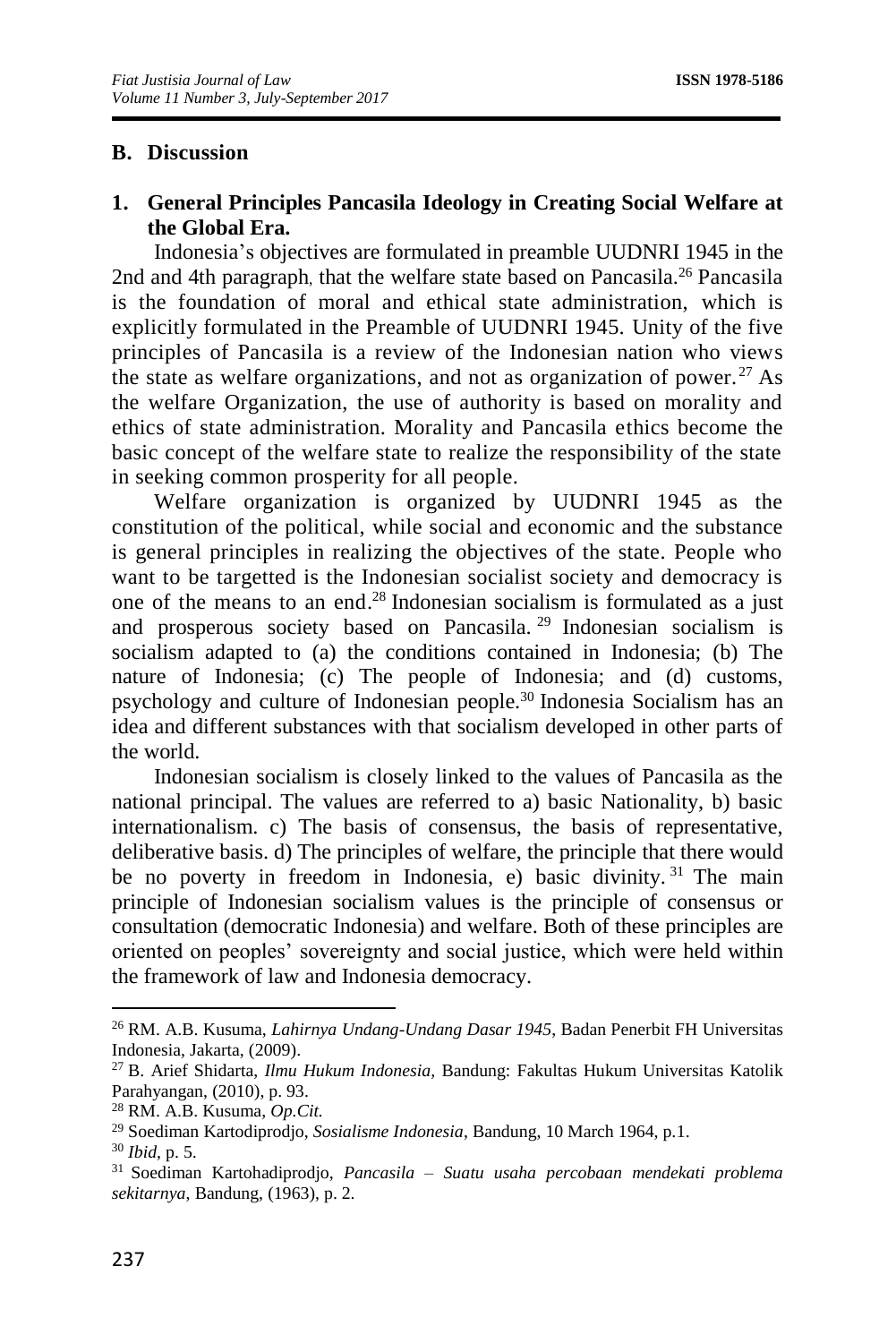### **B. Discussion**

### **1. General Principles Pancasila Ideology in Creating Social Welfare at the Global Era.**

Indonesia's objectives are formulated in preamble UUDNRI 1945 in the 2nd and 4th paragraph, that the welfare state based on Pancasila.<sup>26</sup> Pancasila is the foundation of moral and ethical state administration, which is explicitly formulated in the Preamble of UUDNRI 1945. Unity of the five principles of Pancasila is a review of the Indonesian nation who views the state as welfare organizations, and not as organization of power.<sup>27</sup> As the welfare Organization, the use of authority is based on morality and ethics of state administration. Morality and Pancasila ethics become the basic concept of the welfare state to realize the responsibility of the state in seeking common prosperity for all people.

Welfare organization is organized by UUDNRI 1945 as the constitution of the political, while social and economic and the substance is general principles in realizing the objectives of the state. People who want to be targetted is the Indonesian socialist society and democracy is one of the means to an end. <sup>28</sup> Indonesian socialism is formulated as a just and prosperous society based on Pancasila. <sup>29</sup> Indonesian socialism is socialism adapted to (a) the conditions contained in Indonesia; (b) The nature of Indonesia; (c) The people of Indonesia; and (d) customs, psychology and culture of Indonesian people.<sup>30</sup> Indonesia Socialism has an idea and different substances with that socialism developed in other parts of the world.

Indonesian socialism is closely linked to the values of Pancasila as the national principal. The values are referred to a) basic Nationality, b) basic internationalism. c) The basis of consensus, the basis of representative, deliberative basis. d) The principles of welfare, the principle that there would be no poverty in freedom in Indonesia, e) basic divinity.<sup>31</sup> The main principle of Indonesian socialism values is the principle of consensus or consultation (democratic Indonesia) and welfare. Both of these principles are oriented on peoples' sovereignty and social justice, which were held within the framework of law and Indonesia democracy.

<sup>26</sup> RM. A.B. Kusuma, *Lahirnya Undang-Undang Dasar 1945*, Badan Penerbit FH Universitas Indonesia, Jakarta, (2009).

<sup>27</sup> B. Arief Shidarta, *Ilmu Hukum Indonesia,* Bandung: Fakultas Hukum Universitas Katolik Parahyangan, (2010), p. 93.

<sup>28</sup> RM. A.B. Kusuma, *Op.Cit.*

<sup>29</sup> Soediman Kartodiprodjo, *Sosialisme Indonesia*, Bandung, 10 March 1964, p.1.

<sup>30</sup> *Ibid*, p. 5.

<sup>31</sup> Soediman Kartohadiprodjo, *Pancasila – Suatu usaha percobaan mendekati problema sekitarnya*, Bandung, (1963), p. 2.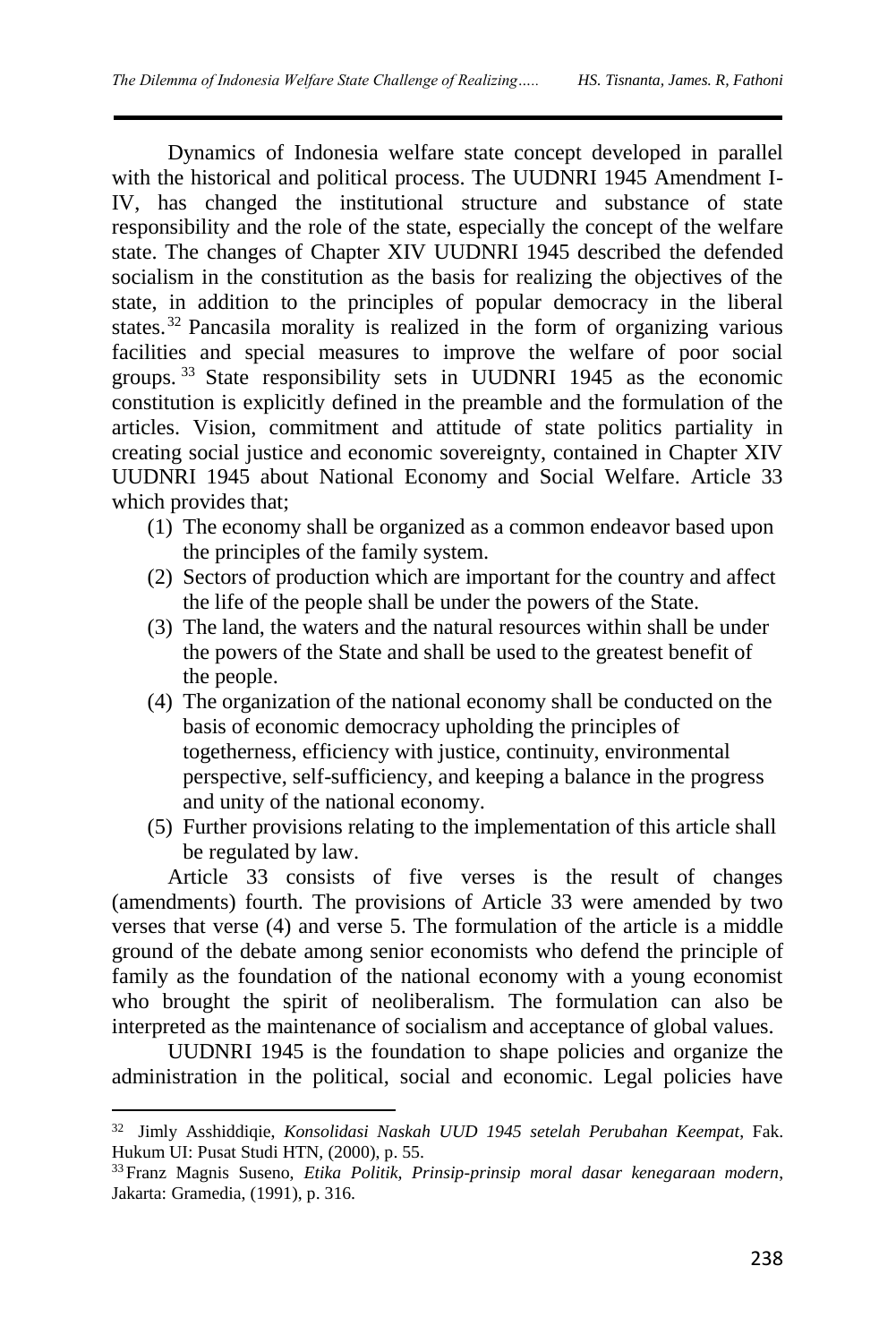Dynamics of Indonesia welfare state concept developed in parallel with the historical and political process. The UUDNRI 1945 Amendment I-IV, has changed the institutional structure and substance of state responsibility and the role of the state, especially the concept of the welfare state. The changes of Chapter XIV UUDNRI 1945 described the defended socialism in the constitution as the basis for realizing the objectives of the state, in addition to the principles of popular democracy in the liberal states.<sup>32</sup> Pancasila morality is realized in the form of organizing various facilities and special measures to improve the welfare of poor social groups. <sup>33</sup> State responsibility sets in UUDNRI 1945 as the economic constitution is explicitly defined in the preamble and the formulation of the articles. Vision, commitment and attitude of state politics partiality in creating social justice and economic sovereignty, contained in Chapter XIV UUDNRI 1945 about National Economy and Social Welfare. Article 33 which provides that;

- (1) The economy shall be organized as a common endeavor based upon the principles of the family system.
- (2) Sectors of production which are important for the country and affect the life of the people shall be under the powers of the State.
- (3) The land, the waters and the natural resources within shall be under the powers of the State and shall be used to the greatest benefit of the people.
- (4) The organization of the national economy shall be conducted on the basis of economic democracy upholding the principles of togetherness, efficiency with justice, continuity, environmental perspective, self-sufficiency, and keeping a balance in the progress and unity of the national economy.
- (5) Further provisions relating to the implementation of this article shall be regulated by law.

Article 33 consists of five verses is the result of changes (amendments) fourth. The provisions of Article 33 were amended by two verses that verse (4) and verse 5. The formulation of the article is a middle ground of the debate among senior economists who defend the principle of family as the foundation of the national economy with a young economist who brought the spirit of neoliberalism. The formulation can also be interpreted as the maintenance of socialism and acceptance of global values.

UUDNRI 1945 is the foundation to shape policies and organize the administration in the political, social and economic. Legal policies have

<sup>32</sup> Jimly Asshiddiqie, *Konsolidasi Naskah UUD 1945 setelah Perubahan Keempat*, Fak. Hukum UI: Pusat Studi HTN, (2000), p. 55.

<sup>33</sup>Franz Magnis Suseno, *Etika Politik, Prinsip-prinsip moral dasar kenegaraan modern*, Jakarta: Gramedia, (1991), p. 316.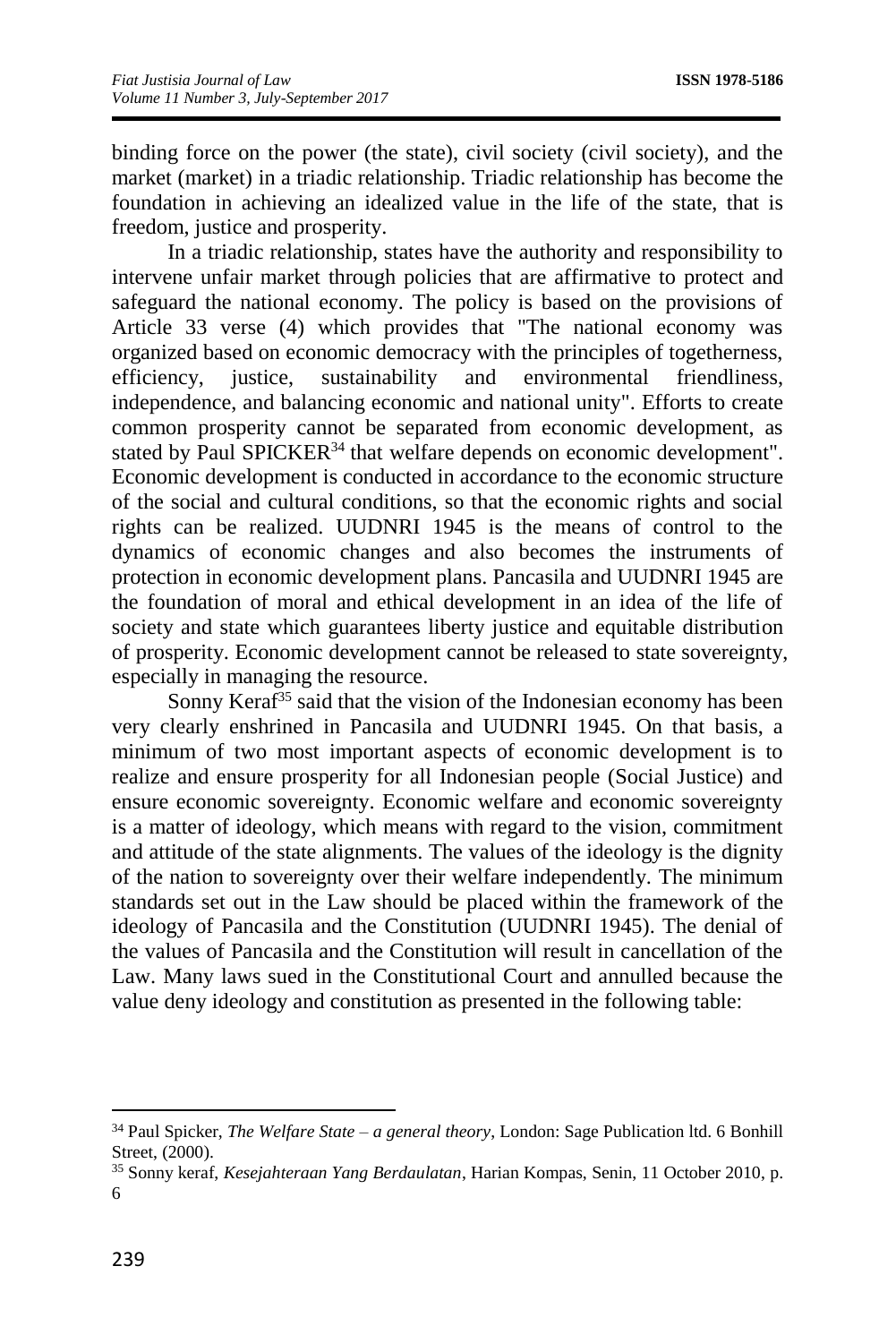binding force on the power (the state), civil society (civil society), and the market (market) in a triadic relationship. Triadic relationship has become the foundation in achieving an idealized value in the life of the state, that is freedom, justice and prosperity.

In a triadic relationship, states have the authority and responsibility to intervene unfair market through policies that are affirmative to protect and safeguard the national economy. The policy is based on the provisions of Article 33 verse (4) which provides that "The national economy was organized based on economic democracy with the principles of togetherness, efficiency, justice, sustainability and environmental friendliness, independence, and balancing economic and national unity". Efforts to create common prosperity cannot be separated from economic development, as stated by Paul SPICKER<sup>34</sup> that welfare depends on economic development". Economic development is conducted in accordance to the economic structure of the social and cultural conditions, so that the economic rights and social rights can be realized. UUDNRI 1945 is the means of control to the dynamics of economic changes and also becomes the instruments of protection in economic development plans. Pancasila and UUDNRI 1945 are the foundation of moral and ethical development in an idea of the life of society and state which guarantees liberty justice and equitable distribution of prosperity. Economic development cannot be released to state sovereignty, especially in managing the resource.

Sonny Keraf<sup>35</sup> said that the vision of the Indonesian economy has been very clearly enshrined in Pancasila and UUDNRI 1945. On that basis, a minimum of two most important aspects of economic development is to realize and ensure prosperity for all Indonesian people (Social Justice) and ensure economic sovereignty. Economic welfare and economic sovereignty is a matter of ideology, which means with regard to the vision, commitment and attitude of the state alignments. The values of the ideology is the dignity of the nation to sovereignty over their welfare independently. The minimum standards set out in the Law should be placed within the framework of the ideology of Pancasila and the Constitution (UUDNRI 1945). The denial of the values of Pancasila and the Constitution will result in cancellation of the Law. Many laws sued in the Constitutional Court and annulled because the value deny ideology and constitution as presented in the following table:

<sup>34</sup> Paul Spicker, *The Welfare State – a general theory*, London: Sage Publication ltd. 6 Bonhill Street, (2000).

<sup>35</sup> Sonny keraf, *Kesejahteraan Yang Berdaulatan*, Harian Kompas, Senin, 11 October 2010, p. 6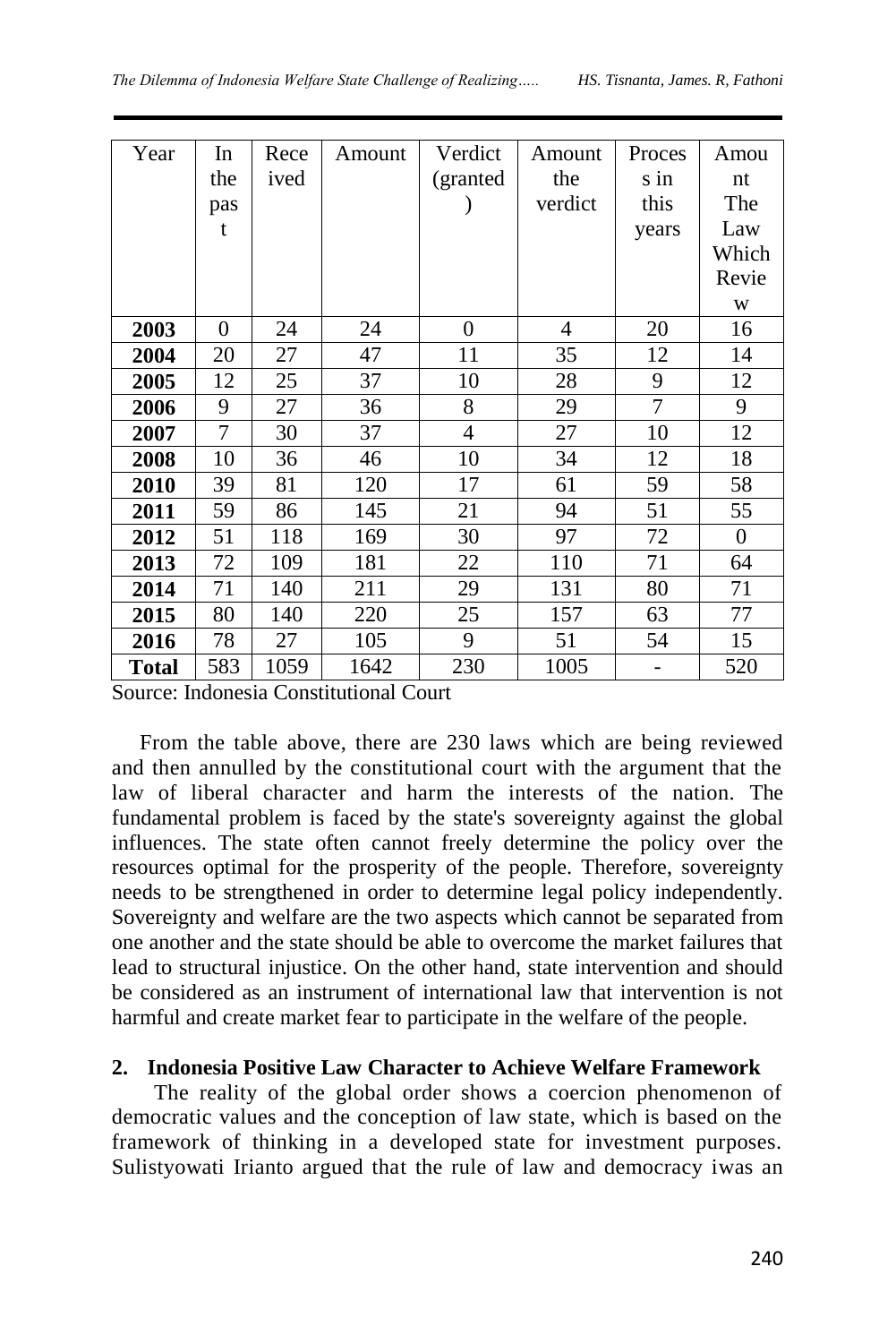| Year         | In       | Rece | Amount | Verdict        | Amount  | Proces | Amou     |
|--------------|----------|------|--------|----------------|---------|--------|----------|
|              |          |      |        |                |         |        |          |
|              | the      | ived |        | (granted       | the     | s in   | nt       |
|              | pas      |      |        |                | verdict | this   | The      |
|              | t        |      |        |                |         | years  | Law      |
|              |          |      |        |                |         |        | Which    |
|              |          |      |        |                |         |        | Revie    |
|              |          |      |        |                |         |        | W        |
| 2003         | $\theta$ | 24   | 24     | $\theta$       | 4       | 20     | 16       |
| 2004         | 20       | 27   | 47     | 11             | 35      | 12     | 14       |
| 2005         | 12       | 25   | 37     | 10             | 28      | 9      | 12       |
| 2006         | 9        | 27   | 36     | 8              | 29      | 7      | 9        |
| 2007         | 7        | 30   | 37     | $\overline{4}$ | 27      | 10     | 12       |
| 2008         | 10       | 36   | 46     | 10             | 34      | 12     | 18       |
| 2010         | 39       | 81   | 120    | 17             | 61      | 59     | 58       |
| 2011         | 59       | 86   | 145    | 21             | 94      | 51     | 55       |
| 2012         | 51       | 118  | 169    | 30             | 97      | 72     | $\theta$ |
| 2013         | 72       | 109  | 181    | 22             | 110     | 71     | 64       |
| 2014         | 71       | 140  | 211    | 29             | 131     | 80     | 71       |
| 2015         | 80       | 140  | 220    | 25             | 157     | 63     | 77       |
| 2016         | 78       | 27   | 105    | 9              | 51      | 54     | 15       |
| <b>Total</b> | 583      | 1059 | 1642   | 230            | 1005    |        | 520      |

Source: Indonesia Constitutional Court

From the table above, there are 230 laws which are being reviewed and then annulled by the constitutional court with the argument that the law of liberal character and harm the interests of the nation. The fundamental problem is faced by the state's sovereignty against the global influences. The state often cannot freely determine the policy over the resources optimal for the prosperity of the people. Therefore, sovereignty needs to be strengthened in order to determine legal policy independently. Sovereignty and welfare are the two aspects which cannot be separated from one another and the state should be able to overcome the market failures that lead to structural injustice. On the other hand, state intervention and should be considered as an instrument of international law that intervention is not harmful and create market fear to participate in the welfare of the people.

### **2. Indonesia Positive Law Character to Achieve Welfare Framework**

The reality of the global order shows a coercion phenomenon of democratic values and the conception of law state, which is based on the framework of thinking in a developed state for investment purposes. Sulistyowati Irianto argued that the rule of law and democracy iwas an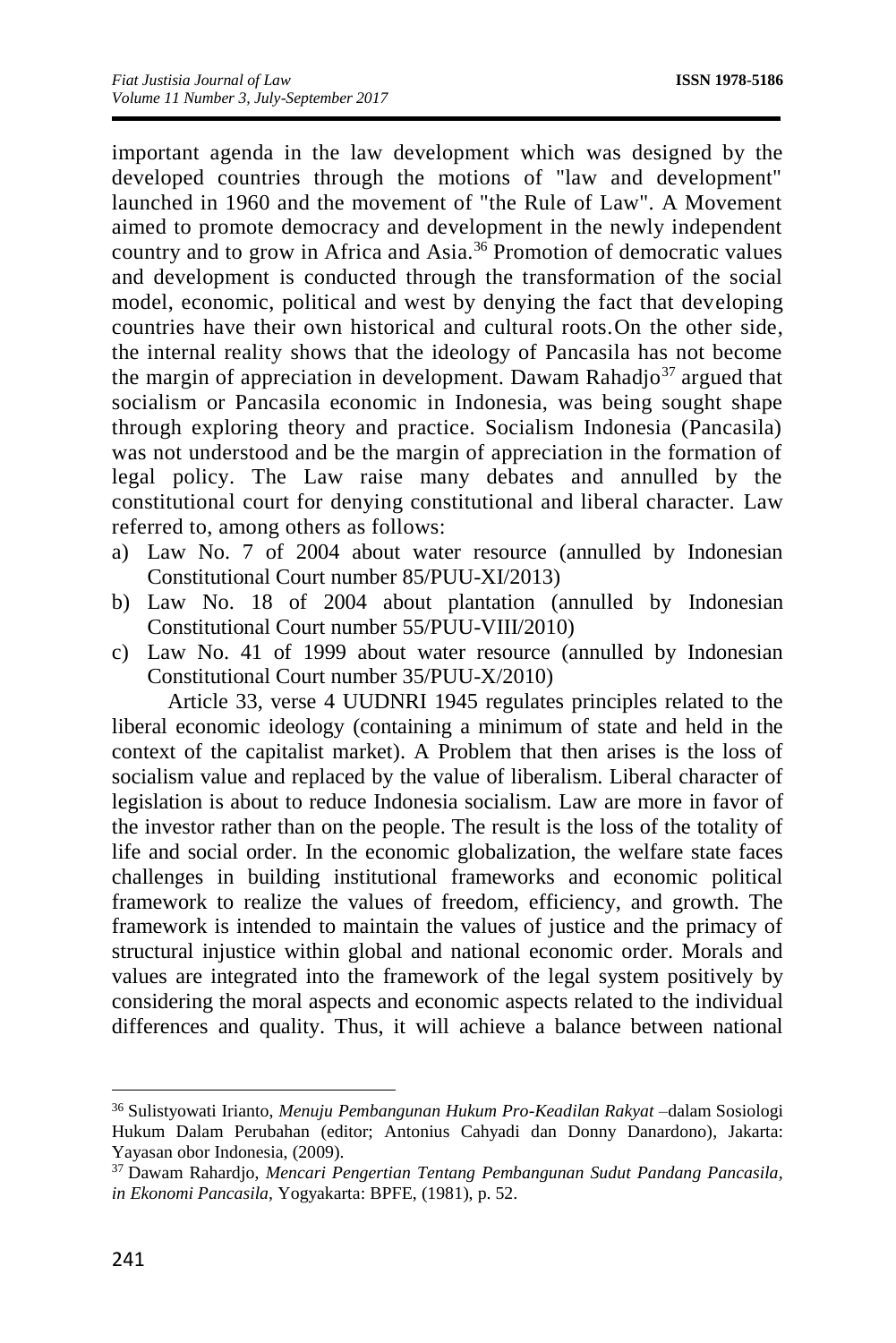important agenda in the law development which was designed by the developed countries through the motions of "law and development" launched in 1960 and the movement of "the Rule of Law". A Movement aimed to promote democracy and development in the newly independent country and to grow in Africa and Asia.<sup>36</sup> Promotion of democratic values and development is conducted through the transformation of the social model, economic, political and west by denying the fact that developing countries have their own historical and cultural roots.On the other side, the internal reality shows that the ideology of Pancasila has not become the margin of appreciation in development. Dawam Rahadjo<sup>37</sup> argued that socialism or Pancasila economic in Indonesia, was being sought shape through exploring theory and practice. Socialism Indonesia (Pancasila) was not understood and be the margin of appreciation in the formation of legal policy. The Law raise many debates and annulled by the constitutional court for denying constitutional and liberal character. Law referred to, among others as follows:

- a) Law No. 7 of 2004 about water resource (annulled by Indonesian Constitutional Court number 85/PUU-XI/2013)
- b) Law No. 18 of 2004 about plantation (annulled by Indonesian Constitutional Court number 55/PUU-VIII/2010)
- c) Law No. 41 of 1999 about water resource (annulled by Indonesian Constitutional Court number 35/PUU-X/2010)

Article 33, verse 4 UUDNRI 1945 regulates principles related to the liberal economic ideology (containing a minimum of state and held in the context of the capitalist market). A Problem that then arises is the loss of socialism value and replaced by the value of liberalism. Liberal character of legislation is about to reduce Indonesia socialism. Law are more in favor of the investor rather than on the people. The result is the loss of the totality of life and social order. In the economic globalization, the welfare state faces challenges in building institutional frameworks and economic political framework to realize the values of freedom, efficiency, and growth. The framework is intended to maintain the values of justice and the primacy of structural injustice within global and national economic order. Morals and values are integrated into the framework of the legal system positively by considering the moral aspects and economic aspects related to the individual differences and quality. Thus, it will achieve a balance between national

<sup>36</sup> Sulistyowati Irianto, *Menuju Pembangunan Hukum Pro-Keadilan Rakyat* –dalam Sosiologi Hukum Dalam Perubahan (editor; Antonius Cahyadi dan Donny Danardono), Jakarta: Yayasan obor Indonesia, (2009).

<sup>37</sup> Dawam Rahardjo, *Mencari Pengertian Tentang Pembangunan Sudut Pandang Pancasila, in Ekonomi Pancasila,* Yogyakarta: BPFE, (1981), p. 52.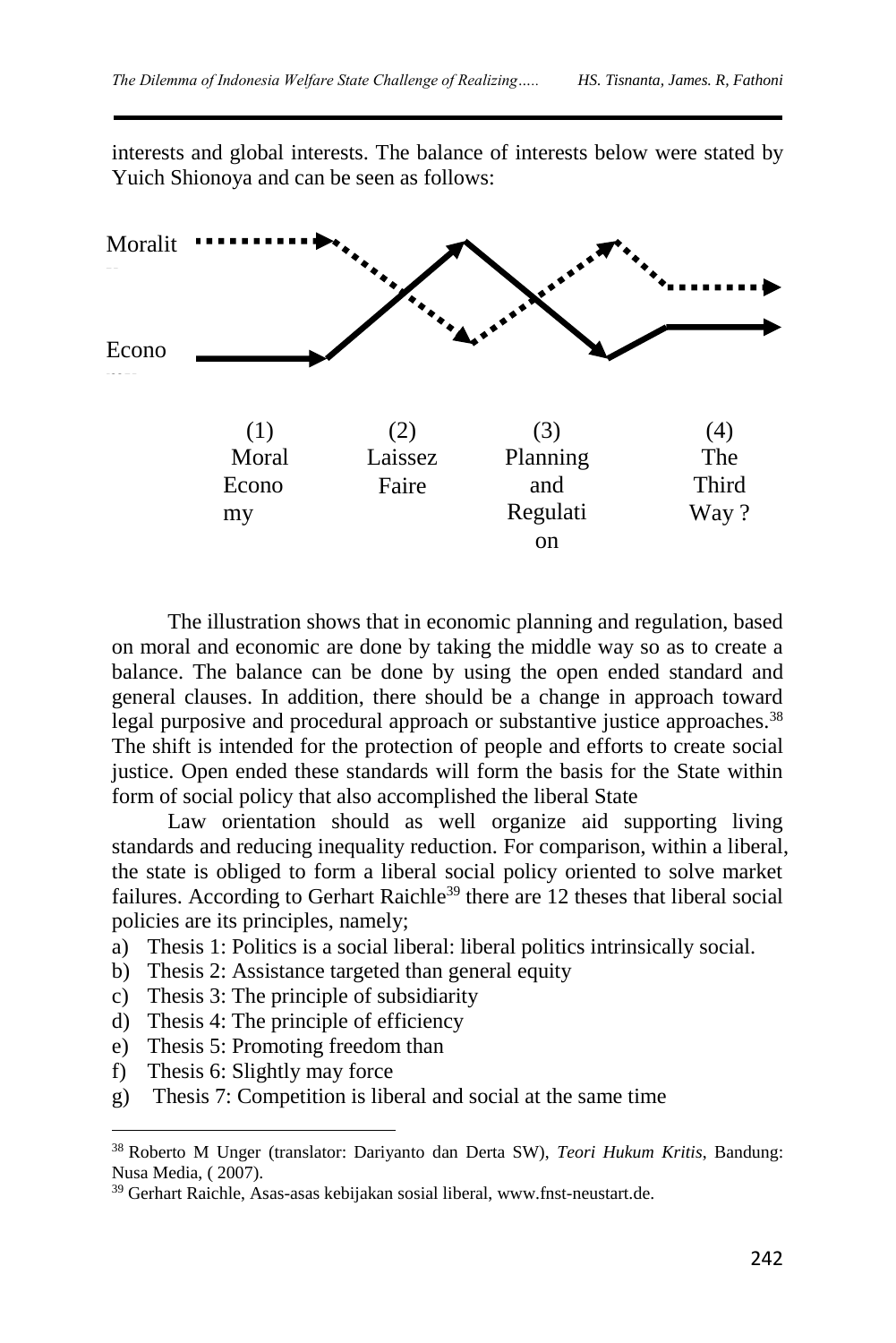interests and global interests. The balance of interests below were stated by Yuich Shionoya and can be seen as follows:



The illustration shows that in economic planning and regulation, based on moral and economic are done by taking the middle way so as to create a balance. The balance can be done by using the open ended standard and general clauses. In addition, there should be a change in approach toward legal purposive and procedural approach or substantive justice approaches.<sup>38</sup> The shift is intended for the protection of people and efforts to create social justice. Open ended these standards will form the basis for the State within form of social policy that also accomplished the liberal State

Law orientation should as well organize aid supporting living standards and reducing inequality reduction. For comparison, within a liberal, the state is obliged to form a liberal social policy oriented to solve market failures. According to Gerhart Raichle<sup>39</sup> there are 12 theses that liberal social policies are its principles, namely;

- a) Thesis 1: Politics is a social liberal: liberal politics intrinsically social.
- b) Thesis 2: Assistance targeted than general equity
- c) Thesis 3: The principle of subsidiarity
- d) Thesis 4: The principle of efficiency
- e) Thesis 5: Promoting freedom than
- f) Thesis 6: Slightly may force

 $\overline{a}$ 

g) Thesis 7: Competition is liberal and social at the same time

<sup>38</sup> Roberto M Unger (translator: Dariyanto dan Derta SW), *Teori Hukum Kritis*, Bandung: Nusa Media, ( 2007).

<sup>39</sup> Gerhart Raichle, Asas-asas kebijakan sosial liberal, [www.fnst-neustart.de.](http://www.fnst-neustart.de/)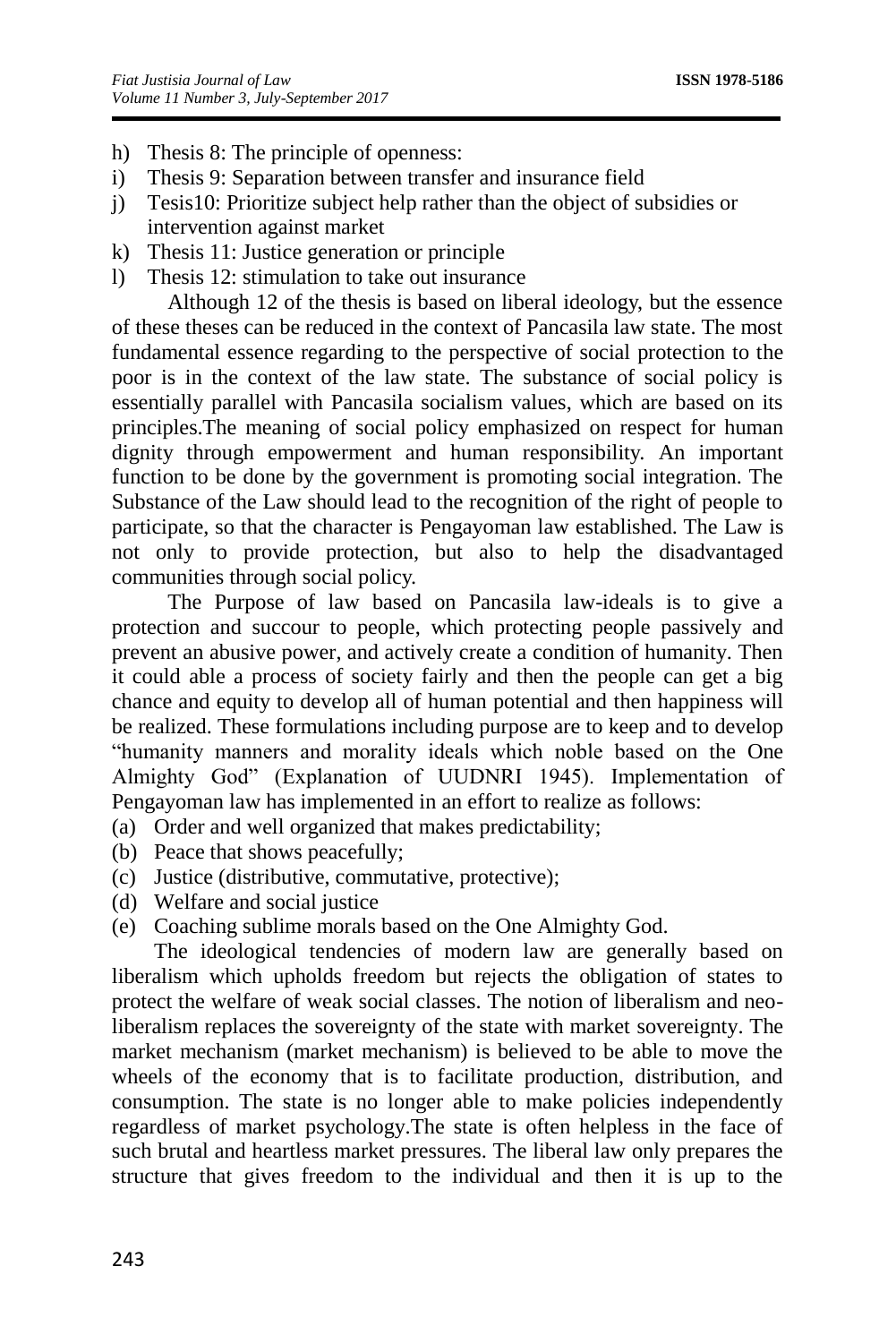- h) Thesis 8: The principle of openness:
- i) Thesis 9: Separation between transfer and insurance field
- j) Tesis10: Prioritize subject help rather than the object of subsidies or intervention against market
- k) Thesis 11: Justice generation or principle
- l) Thesis 12: stimulation to take out insurance

Although 12 of the thesis is based on liberal ideology, but the essence of these theses can be reduced in the context of Pancasila law state. The most fundamental essence regarding to the perspective of social protection to the poor is in the context of the law state. The substance of social policy is essentially parallel with Pancasila socialism values, which are based on its principles.The meaning of social policy emphasized on respect for human dignity through empowerment and human responsibility. An important function to be done by the government is promoting social integration. The Substance of the Law should lead to the recognition of the right of people to participate, so that the character is Pengayoman law established. The Law is not only to provide protection, but also to help the disadvantaged communities through social policy.

The Purpose of law based on Pancasila law-ideals is to give a protection and succour to people, which protecting people passively and prevent an abusive power, and actively create a condition of humanity. Then it could able a process of society fairly and then the people can get a big chance and equity to develop all of human potential and then happiness will be realized. These formulations including purpose are to keep and to develop "humanity manners and morality ideals which noble based on the One Almighty God" (Explanation of UUDNRI 1945). Implementation of Pengayoman law has implemented in an effort to realize as follows:

- (a) Order and well organized that makes predictability;
- (b) Peace that shows peacefully;
- (c) Justice (distributive, commutative, protective);
- (d) Welfare and social justice
- (e) Coaching sublime morals based on the One Almighty God.

The ideological tendencies of modern law are generally based on liberalism which upholds freedom but rejects the obligation of states to protect the welfare of weak social classes. The notion of liberalism and neoliberalism replaces the sovereignty of the state with market sovereignty. The market mechanism (market mechanism) is believed to be able to move the wheels of the economy that is to facilitate production, distribution, and consumption. The state is no longer able to make policies independently regardless of market psychology.The state is often helpless in the face of such brutal and heartless market pressures. The liberal law only prepares the structure that gives freedom to the individual and then it is up to the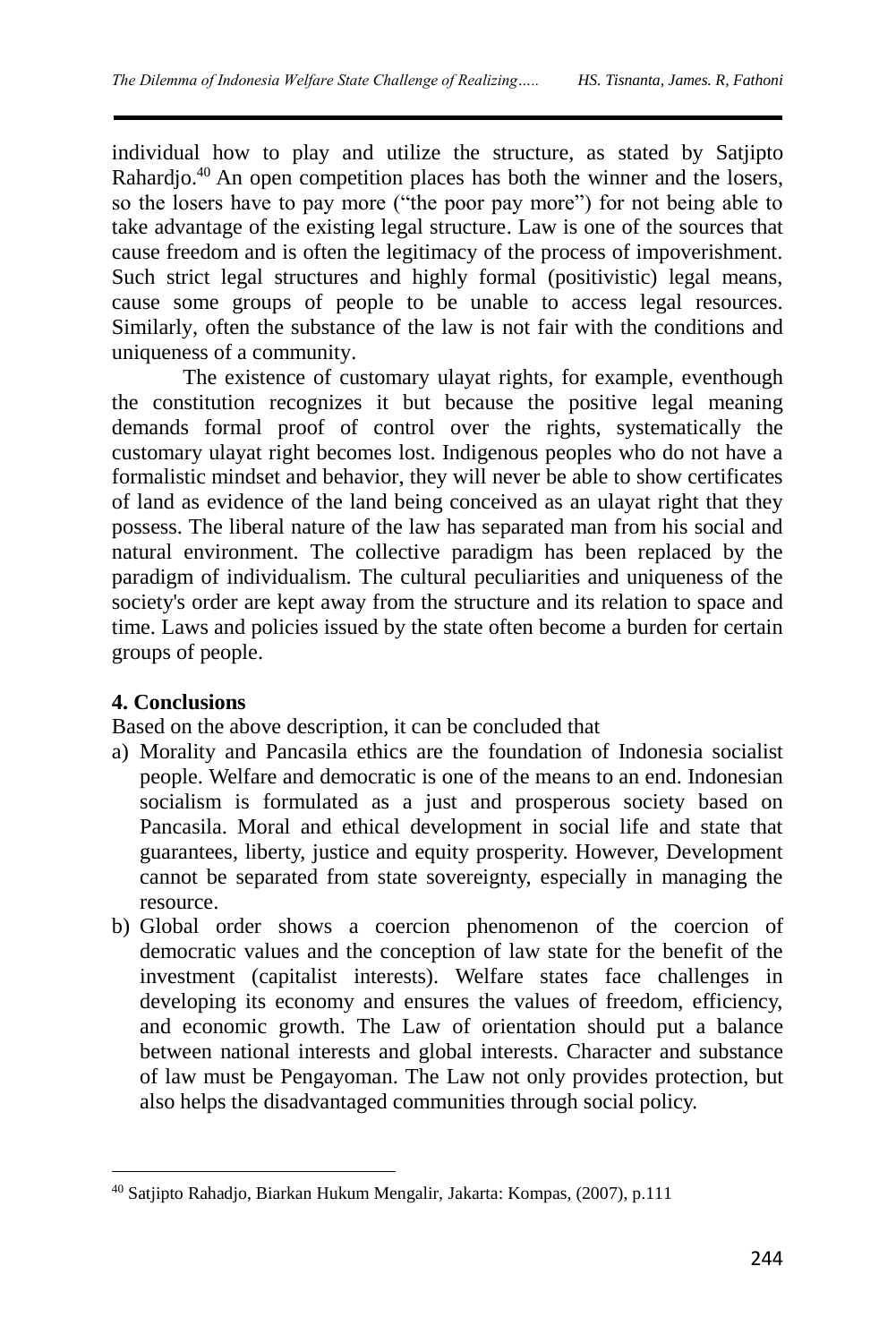individual how to play and utilize the structure, as stated by Satjipto Rahardjo.<sup>40</sup> An open competition places has both the winner and the losers, so the losers have to pay more ("the poor pay more") for not being able to take advantage of the existing legal structure. Law is one of the sources that cause freedom and is often the legitimacy of the process of impoverishment. Such strict legal structures and highly formal (positivistic) legal means, cause some groups of people to be unable to access legal resources. Similarly, often the substance of the law is not fair with the conditions and uniqueness of a community.

The existence of customary ulayat rights, for example, eventhough the constitution recognizes it but because the positive legal meaning demands formal proof of control over the rights, systematically the customary ulayat right becomes lost. Indigenous peoples who do not have a formalistic mindset and behavior, they will never be able to show certificates of land as evidence of the land being conceived as an ulayat right that they possess. The liberal nature of the law has separated man from his social and natural environment. The collective paradigm has been replaced by the paradigm of individualism. The cultural peculiarities and uniqueness of the society's order are kept away from the structure and its relation to space and time. Laws and policies issued by the state often become a burden for certain groups of people.

# **4. Conclusions**

 $\overline{a}$ 

Based on the above description, it can be concluded that

- a) Morality and Pancasila ethics are the foundation of Indonesia socialist people. Welfare and democratic is one of the means to an end. Indonesian socialism is formulated as a just and prosperous society based on Pancasila. Moral and ethical development in social life and state that guarantees, liberty, justice and equity prosperity. However, Development cannot be separated from state sovereignty, especially in managing the resource.
- b) Global order shows a coercion phenomenon of the coercion of democratic values and the conception of law state for the benefit of the investment (capitalist interests). Welfare states face challenges in developing its economy and ensures the values of freedom, efficiency, and economic growth. The Law of orientation should put a balance between national interests and global interests. Character and substance of law must be Pengayoman. The Law not only provides protection, but also helps the disadvantaged communities through social policy.

<sup>40</sup> Satjipto Rahadjo, Biarkan Hukum Mengalir, Jakarta: Kompas, (2007), p.111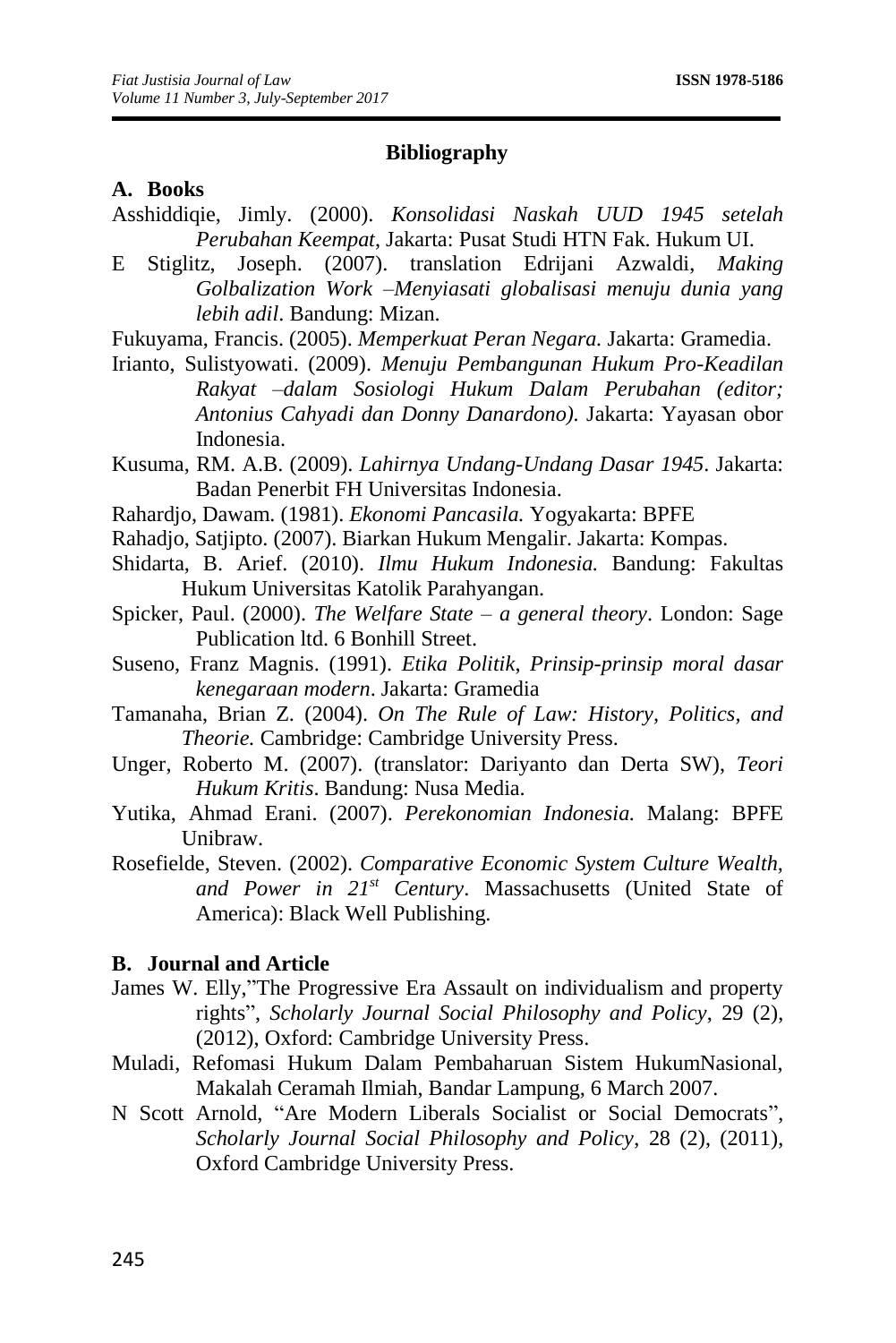#### **Bibliography**

### **A. Books**

- Asshiddiqie, Jimly. (2000). *Konsolidasi Naskah UUD 1945 setelah Perubahan Keempat*, Jakarta: Pusat Studi HTN Fak. Hukum UI.
- E Stiglitz, Joseph. (2007). translation Edrijani Azwaldi, *Making Golbalization Work –Menyiasati globalisasi menuju dunia yang lebih adil*. Bandung: Mizan.
- Fukuyama, Francis. (2005). *Memperkuat Peran Negara.* Jakarta: Gramedia.
- Irianto, Sulistyowati. (2009). *Menuju Pembangunan Hukum Pro-Keadilan Rakyat –dalam Sosiologi Hukum Dalam Perubahan (editor; Antonius Cahyadi dan Donny Danardono).* Jakarta: Yayasan obor Indonesia.
- Kusuma, RM. A.B. (2009). *Lahirnya Undang-Undang Dasar 1945*. Jakarta: Badan Penerbit FH Universitas Indonesia.
- Rahardjo, Dawam. (1981). *Ekonomi Pancasila.* Yogyakarta: BPFE
- Rahadjo, Satjipto. (2007). Biarkan Hukum Mengalir. Jakarta: Kompas.
- Shidarta, B. Arief. (2010). *Ilmu Hukum Indonesia.* Bandung: Fakultas Hukum Universitas Katolik Parahyangan.
- Spicker, Paul. (2000). *The Welfare State – a general theory*. London: Sage Publication ltd. 6 Bonhill Street.
- Suseno, Franz Magnis. (1991). *Etika Politik*, *Prinsip-prinsip moral dasar kenegaraan modern*. Jakarta: Gramedia
- Tamanaha, Brian Z. (2004). *On The Rule of Law: History, Politics, and Theorie.* Cambridge: Cambridge University Press.
- Unger, Roberto M. (2007). (translator: Dariyanto dan Derta SW), *Teori Hukum Kritis*. Bandung: Nusa Media.
- Yutika, Ahmad Erani. (2007). *Perekonomian Indonesia.* Malang: BPFE Unibraw.
- Rosefielde, Steven. (2002). *Comparative Economic System Culture Wealth, and Power in 21st Century*. Massachusetts (United State of America): Black Well Publishing.

#### **B. Journal and Article**

- James W. Elly,"The Progressive Era Assault on individualism and property rights", *Scholarly Journal Social Philosophy and Policy*, 29 (2), (2012), Oxford: Cambridge University Press.
- Muladi, Refomasi Hukum Dalam Pembaharuan Sistem HukumNasional, Makalah Ceramah Ilmiah, Bandar Lampung, 6 March 2007.
- N Scott Arnold, "Are Modern Liberals Socialist or Social Democrats", *Scholarly Journal Social Philosophy and Policy*, 28 (2), (2011), Oxford Cambridge University Press.